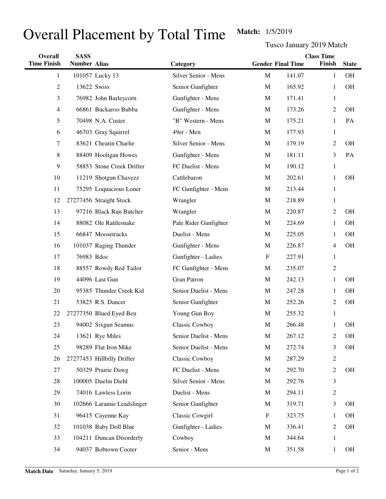## Overall Placement by Total Time Match: 1/5/2019

Tusco January 2019 Match

| Overall            | <b>SASS</b>         |                            |                        |                           | <b>Class Time</b>        |                |              |  |
|--------------------|---------------------|----------------------------|------------------------|---------------------------|--------------------------|----------------|--------------|--|
| <b>Time Finish</b> | <b>Number Alias</b> |                            | Category               |                           | <b>Gender Final Time</b> | Finish         | <b>State</b> |  |
| 1                  |                     | 101057 Lucky 13            | Silver Senior - Mens   | M                         | 141.07                   | $\mathbf{1}$   | <b>OH</b>    |  |
| $\overline{c}$     |                     | 13622 Swiss                | Senior Gunfighter      | $\mathbf M$               | 165.92                   | 1              | <b>OH</b>    |  |
| 3                  |                     | 76982 John Barleycorn      | Gunfighter - Mens      | $\mathbf M$               | 171.41                   | $\mathbf{1}$   |              |  |
| 4                  |                     | 66861 Buckaroo Bubba       | Gunfighter - Mens      | M                         | 173.26                   | $\overline{2}$ | <b>OH</b>    |  |
| 5                  |                     | 70498 N.A. Custer          | "B" Western - Mens     | M                         | 175.21                   | $\mathbf{1}$   | PA           |  |
| 6                  |                     | 46703 Gray Squirrel        | 49er - Men             | $\mathbf M$               | 177.93                   | 1              |              |  |
| 7                  |                     | 83621 Cheatin Charlie      | Silver Senior - Mens   | $\mathbf M$               | 179.19                   | $\overline{2}$ | <b>OH</b>    |  |
| 8                  |                     | 88409 Hooligan Howes       | Gunfighter - Mens      | M                         | 181.11                   | 3              | PA           |  |
| 9                  |                     | 58853 Stone Creek Drifter  | FC Duelist - Mens      | $\mathbf M$               | 190.12                   | $\mathbf{1}$   |              |  |
| 10                 |                     | 11219 Shotgun Chavezz      | Cattlebaron            | M                         | 202.61                   | $\mathbf{1}$   | <b>OH</b>    |  |
| 11                 |                     | 75295 Loquacious Loner     | FC Gunfighter - Mens   | M                         | 213.44                   | $\mathbf{1}$   |              |  |
| 12                 |                     | 27277456 Straight Stock    | Wrangler               | M                         | 218.89                   | 1              |              |  |
| 13                 |                     | 97216 Black Run Butcher    | Wrangler               | M                         | 220.87                   | $\overline{2}$ | <b>OH</b>    |  |
| 14                 |                     | 88082 Ole Rattlesnake      | Pale Rider Gunfighter  | M                         | 224.69                   | 1              | OH           |  |
| 15                 |                     | 66847 Moosetracks          | Duelist - Mens         | M                         | 225.05                   | $\mathbf{1}$   | OH           |  |
| 16                 |                     | 101037 Raging Thunder      | Gunfighter - Mens      | M                         | 226.87                   | 4              | OH           |  |
| 17                 | 76983 Bdoc          |                            | Gunfighter - Ladies    | $\boldsymbol{\mathrm{F}}$ | 227.91                   | $\mathbf{1}$   |              |  |
| 18                 |                     | 88557 Rowdy Red Tailor     | FC Gunfighter - Mens   | M                         | 235.07                   | 2              |              |  |
| 19                 |                     | 44096 Last Gun             | <b>Gran Patron</b>     | M                         | 242.13                   | $\mathbf{1}$   | OH           |  |
| 20                 |                     | 95385 Thunder Creek Kid    | Senior Duelist - Mens  | M                         | 247.28                   | 1              | OH           |  |
| 21                 |                     | 53825 R.S. Dancer          | Senior Gunfighter      | M                         | 252.26                   | $\overline{2}$ | OH           |  |
| 22                 |                     | 27277350 Blued Eyed Ben    | Young Gun Boy          | M                         | 255.32                   | 1              |              |  |
| 23                 |                     | 94002 Sixgun Seamus        | Classic Cowboy         | M                         | 266.48                   | 1              | OH           |  |
| 24                 |                     | 13621 Rye Miles            | Senior Duelist - Mens  | $\mathbf M$               | 267.12                   | 2              | OН           |  |
| 25                 |                     | 98289 Flat Iron Mike       | Senior Duelist - Mens  | M                         | 272.74                   | 3              | OH           |  |
| 26                 |                     | 27277453 Hillbilly Drifter | Classic Cowboy         | M                         | 287.29                   | $\overline{2}$ |              |  |
| 27                 |                     | 50329 Prairie Dawg         | FC Duelist - Mens      | M                         | 292.70                   | $\overline{2}$ | OH           |  |
| 28                 |                     | 100005 Duelin Diehl        | Silver Senior - Mens   | M                         | 292.76                   | 3              |              |  |
| 29                 |                     | 74016 Lawless Lorin        | Duelist - Mens         | M                         | 294.11                   | 2              |              |  |
| 30                 |                     | 102666 Laramie Leadslinger | Senior Gunfighter      | M                         | 319.71                   | 3              | <b>OH</b>    |  |
| 31                 |                     | 96415 Cayenne Kay          | <b>Classic Cowgirl</b> | $\boldsymbol{\mathrm{F}}$ | 323.75                   | 1              | OH           |  |
| 32                 |                     | 101038 Baby Doll Blue      | Gunfighter - Ladies    | M                         | 336.41                   | $\overline{2}$ | OH           |  |
| 33                 |                     | 104211 Duncan Disorderly   | Cowboy                 | M                         | 344.64                   | 1              |              |  |
| 34                 |                     | 94037 Bobtown Cooter       | Senior - Mens          | M                         | 351.58                   | $\mathbf{1}$   | OH           |  |